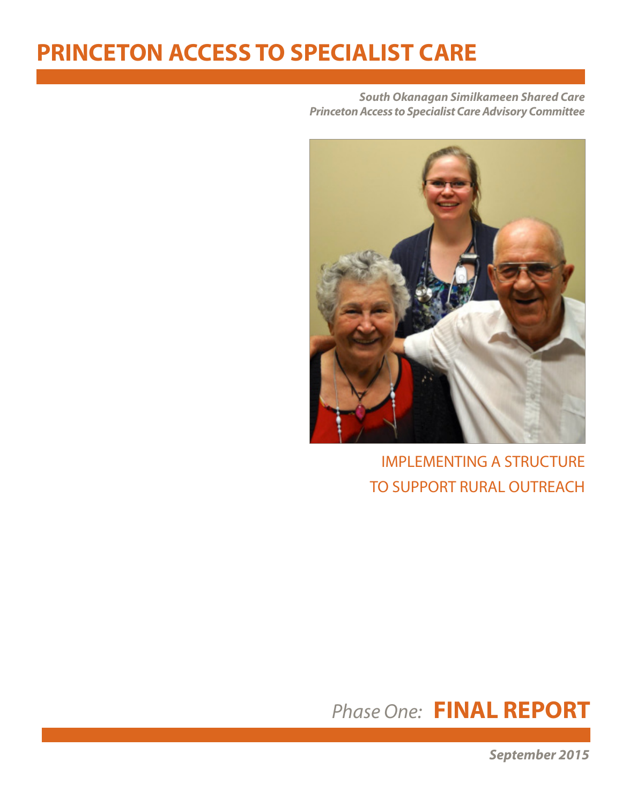# **PRINCETON ACCESS TO SPECIALIST CARE**

*South Okanagan Similkameen Shared Care Princeton Access to Specialist Care Advisory Committee*



IMPLEMENTING A STRUCTURE TO SUPPORT RURAL OUTREACH

# **FINAL REPORT** *Phase One:*

*September 2015*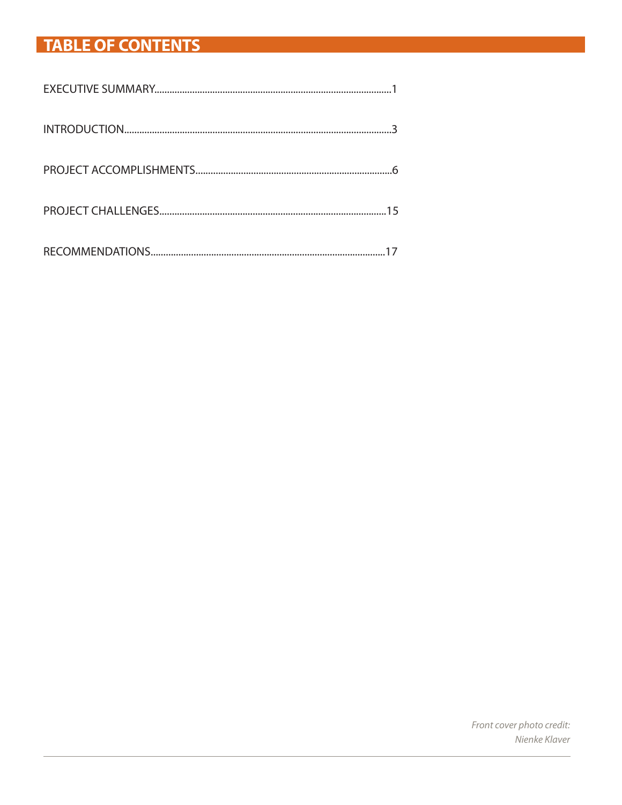# **TABLE OF CONTENTS**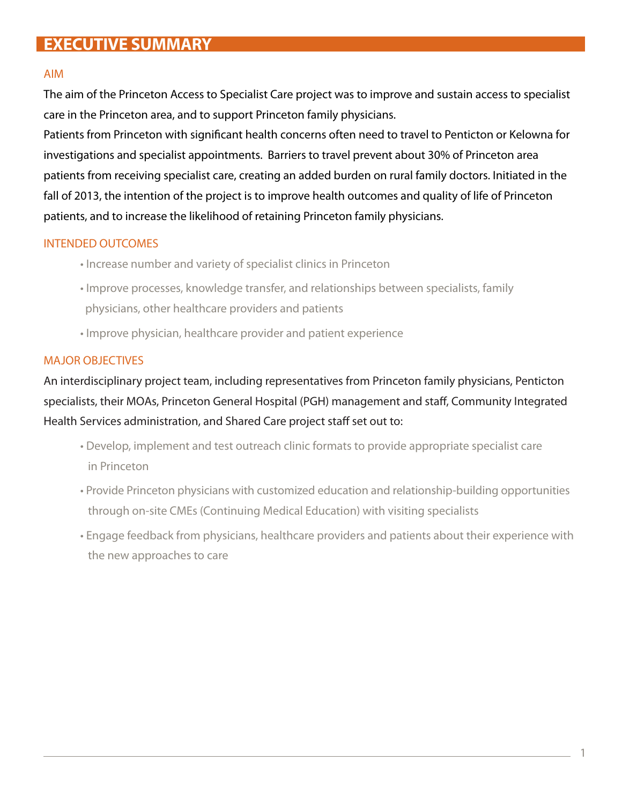### **EXECUTIVE SUMMARY**

#### AIM

The aim of the Princeton Access to Specialist Care project was to improve and sustain access to specialist care in the Princeton area, and to support Princeton family physicians.

Patients from Princeton with significant health concerns often need to travel to Penticton or Kelowna for investigations and specialist appointments. Barriers to travel prevent about 30% of Princeton area patients from receiving specialist care, creating an added burden on rural family doctors. Initiated in the fall of 2013, the intention of the project is to improve health outcomes and quality of life of Princeton patients, and to increase the likelihood of retaining Princeton family physicians.

#### INTENDED OUTCOMES

- Increase number and variety of specialist clinics in Princeton
- Improve processes, knowledge transfer, and relationships between specialists, family physicians, other healthcare providers and patients
- Improve physician, healthcare provider and patient experience

#### MAJOR OBJECTIVES

An interdisciplinary project team, including representatives from Princeton family physicians, Penticton specialists, their MOAs, Princeton General Hospital (PGH) management and staff, Community Integrated Health Services administration, and Shared Care project staff set out to:

- Develop, implement and test outreach clinic formats to provide appropriate specialist care in Princeton
- Provide Princeton physicians with customized education and relationship-building opportunities through on-site CMEs (Continuing Medical Education) with visiting specialists
- Engage feedback from physicians, healthcare providers and patients about their experience with the new approaches to care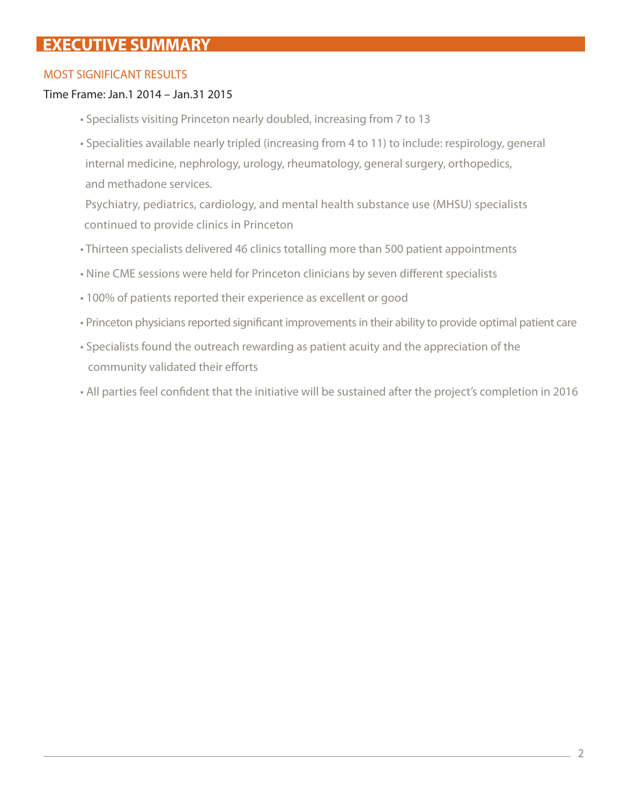## **EXECUTIVE SUMMARY**

#### MOST SIGNIFICANT RESULTS

#### Time Frame: Jan.1 2014 – Jan.31 2015

- Specialists visiting Princeton nearly doubled, increasing from 7 to 13
- Specialities available nearly tripled (increasing from 4 to 11) to include: respirology, general internal medicine, nephrology, urology, rheumatology, general surgery, orthopedics, and methadone services.

 Psychiatry, pediatrics, cardiology, and mental health substance use (MHSU) specialists continued to provide clinics in Princeton

- Thirteen specialists delivered 46 clinics totalling more than 500 patient appointments
- Nine CME sessions were held for Princeton clinicians by seven different specialists
- 100% of patients reported their experience as excellent or good
- Princeton physicians reported significant improvements in their ability to provide optimal patient care
- Specialists found the outreach rewarding as patient acuity and the appreciation of the community validated their efforts
- All parties feel confident that the initiative will be sustained after the project's completion in 2016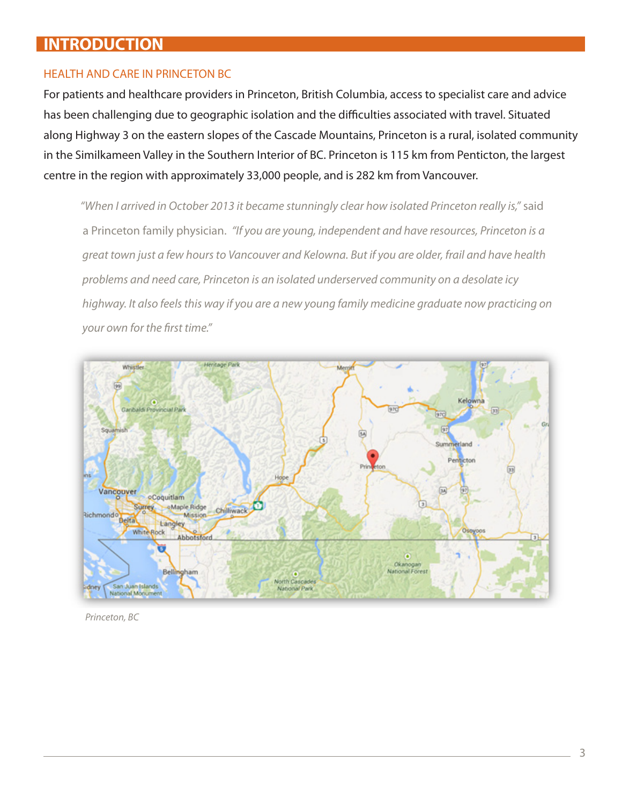### **INTRODUCTION**

#### HEALTH AND CARE IN PRINCETON BC

For patients and healthcare providers in Princeton, British Columbia, access to specialist care and advice has been challenging due to geographic isolation and the difficulties associated with travel. Situated along Highway 3 on the eastern slopes of the Cascade Mountains, Princeton is a rural, isolated community in the Similkameen Valley in the Southern Interior of BC. Princeton is 115 km from Penticton, the largest centre in the region with approximately 33,000 people, and is 282 km from Vancouver.

*"When I arrived in October 2013 it became stunningly clear how isolated Princeton really is,"* said a Princeton family physician. *"If you are young, independent and have resources, Princeton is a great town just a few hours to Vancouver and Kelowna. But if you are older, frail and have health problems and need care, Princeton is an isolated underserved community on a desolate icy highway. It also feels this way if you are a new young family medicine graduate now practicing on your own for the first time."*



*Princeton, BC*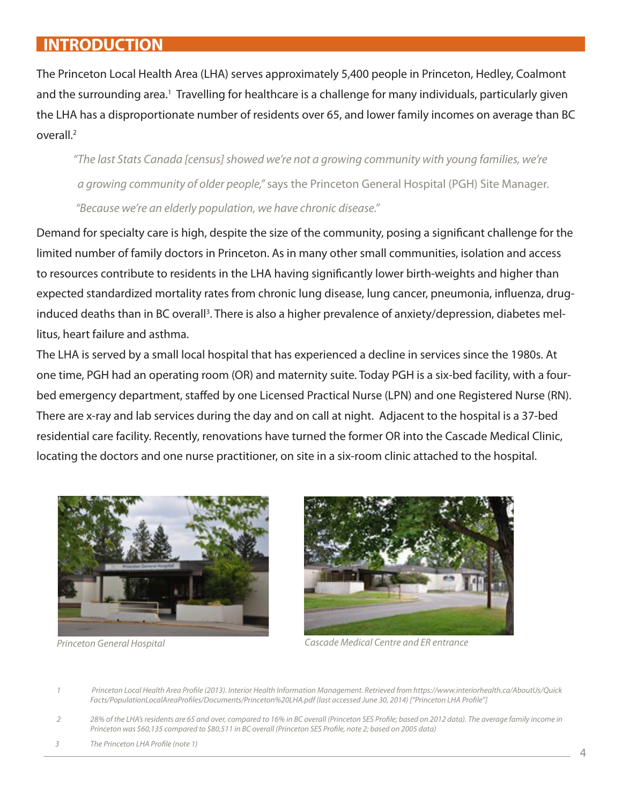### **INTRODUCTION**

The Princeton Local Health Area (LHA) serves approximately 5,400 people in Princeton, Hedley, Coalmont and the surrounding area.<sup>1</sup> Travelling for healthcare is a challenge for many individuals, particularly given the LHA has a disproportionate number of residents over 65, and lower family incomes on average than BC overall.<sup>2</sup>

*"The last Stats Canada [census] showed we're not a growing community with young families, we're a growing community of older people,"* says the Princeton General Hospital (PGH) Site Manager. *"Because we're an elderly population, we have chronic disease."*

Demand for specialty care is high, despite the size of the community, posing a significant challenge for the limited number of family doctors in Princeton. As in many other small communities, isolation and access to resources contribute to residents in the LHA having significantly lower birth-weights and higher than expected standardized mortality rates from chronic lung disease, lung cancer, pneumonia, influenza, druginduced deaths than in BC overall<sup>3</sup>. There is also a higher prevalence of anxiety/depression, diabetes mellitus, heart failure and asthma.

The LHA is served by a small local hospital that has experienced a decline in services since the 1980s. At one time, PGH had an operating room (OR) and maternity suite. Today PGH is a six-bed facility, with a fourbed emergency department, staffed by one Licensed Practical Nurse (LPN) and one Registered Nurse (RN). There are x-ray and lab services during the day and on call at night. Adjacent to the hospital is a 37-bed residential care facility. Recently, renovations have turned the former OR into the Cascade Medical Clinic, locating the doctors and one nurse practitioner, on site in a six-room clinic attached to the hospital.





*Princeton General Hospital Cascade Medical Centre and ER entrance*

 *1 Princeton Local Health Area Profile (2013). Interior Health Information Management. Retrieved from https://www.interiorhealth.ca/AboutUs/Quick Facts/PopulationLocalAreaProfiles/Documents/Princeton%20LHA.pdf (last accessed June 30, 2014) ["Princeton LHA Profile"]*

- *2 28% of the LHA's residents are 65 and over, compared to 16% in BC overall (Princeton SES Profile; based on 2012 data). The average family income in Princeton was \$60,135 compared to \$80,511 in BC overall (Princeton SES Profile, note 2; based on 2005 data)*
- *3 The Princeton LHA Profile (note 1)*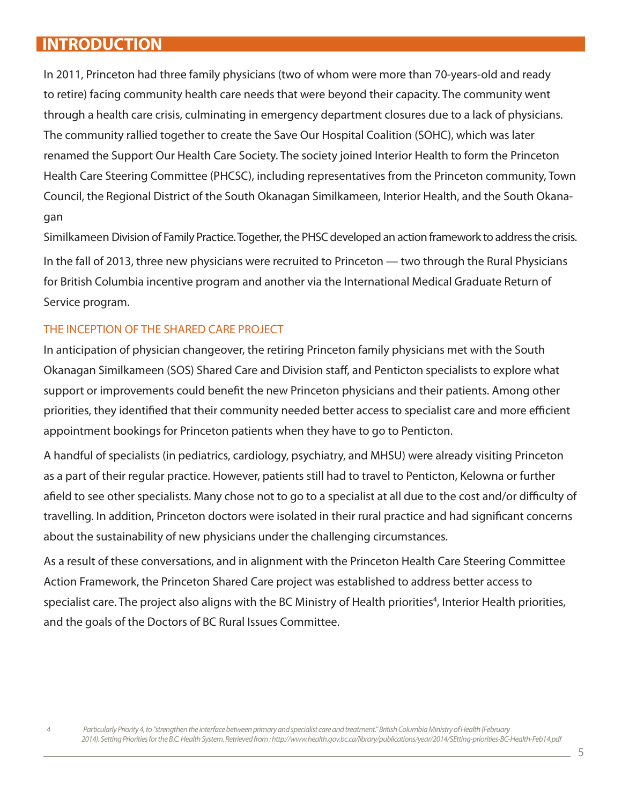### **INTRODUCTION**

In 2011, Princeton had three family physicians (two of whom were more than 70-years-old and ready to retire) facing community health care needs that were beyond their capacity. The community went through a health care crisis, culminating in emergency department closures due to a lack of physicians. The community rallied together to create the Save Our Hospital Coalition (SOHC), which was later renamed the Support Our Health Care Society. The society joined Interior Health to form the Princeton Health Care Steering Committee (PHCSC), including representatives from the Princeton community, Town Council, the Regional District of the South Okanagan Similkameen, Interior Health, and the South Okanagan

Similkameen Division of Family Practice. Together, the PHSC developed an action framework to address the crisis. In the fall of 2013, three new physicians were recruited to Princeton — two through the Rural Physicians for British Columbia incentive program and another via the International Medical Graduate Return of Service program.

#### THE INCEPTION OF THE SHARED CARE PROJECT

In anticipation of physician changeover, the retiring Princeton family physicians met with the South Okanagan Similkameen (SOS) Shared Care and Division staff, and Penticton specialists to explore what support or improvements could benefit the new Princeton physicians and their patients. Among other priorities, they identified that their community needed better access to specialist care and more efficient appointment bookings for Princeton patients when they have to go to Penticton.

A handful of specialists (in pediatrics, cardiology, psychiatry, and MHSU) were already visiting Princeton as a part of their regular practice. However, patients still had to travel to Penticton, Kelowna or further afield to see other specialists. Many chose not to go to a specialist at all due to the cost and/or difficulty of travelling. In addition, Princeton doctors were isolated in their rural practice and had significant concerns about the sustainability of new physicians under the challenging circumstances.

As a result of these conversations, and in alignment with the Princeton Health Care Steering Committee Action Framework, the Princeton Shared Care project was established to address better access to specialist care. The project also aligns with the BC Ministry of Health priorities<sup>4</sup>, Interior Health priorities, and the goals of the Doctors of BC Rural Issues Committee.

 *<sup>4</sup> Particularly Priority 4, to "strengthen the interface between primary and specialist care and treatment." British Columbia Ministry of Health (February 2014). Setting Priorities for the B.C. Health System. Retrieved from : http://www.health.gov.bc.ca/library/publications/year/2014/SEtting-priorities-BC-Health-Feb14.pdf*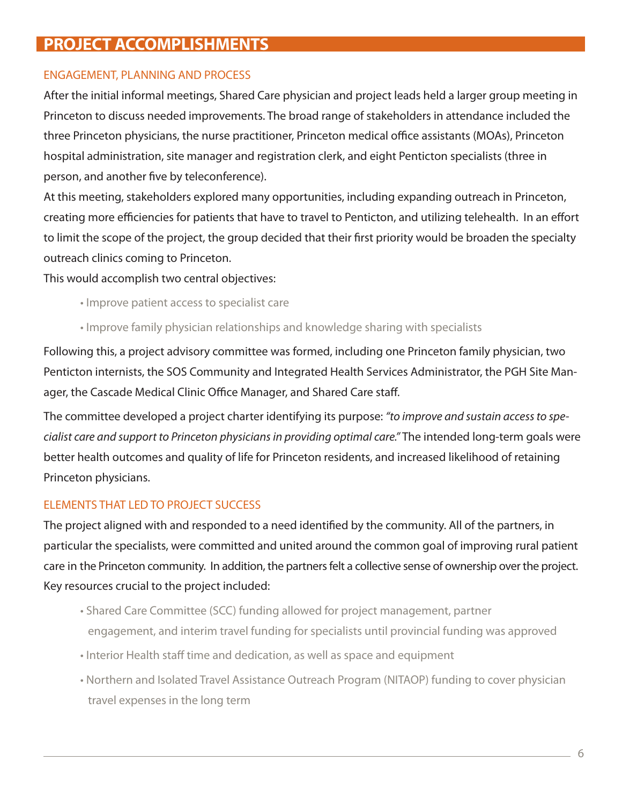#### ENGAGEMENT, PLANNING AND PROCESS

After the initial informal meetings, Shared Care physician and project leads held a larger group meeting in Princeton to discuss needed improvements. The broad range of stakeholders in attendance included the three Princeton physicians, the nurse practitioner, Princeton medical office assistants (MOAs), Princeton hospital administration, site manager and registration clerk, and eight Penticton specialists (three in person, and another five by teleconference).

At this meeting, stakeholders explored many opportunities, including expanding outreach in Princeton, creating more efficiencies for patients that have to travel to Penticton, and utilizing telehealth. In an effort to limit the scope of the project, the group decided that their first priority would be broaden the specialty outreach clinics coming to Princeton.

This would accomplish two central objectives:

- Improve patient access to specialist care
- Improve family physician relationships and knowledge sharing with specialists

Following this, a project advisory committee was formed, including one Princeton family physician, two Penticton internists, the SOS Community and Integrated Health Services Administrator, the PGH Site Manager, the Cascade Medical Clinic Office Manager, and Shared Care staff.

The committee developed a project charter identifying its purpose: *"to improve and sustain access to specialist care and support to Princeton physicians in providing optimal care."* The intended long-term goals were better health outcomes and quality of life for Princeton residents, and increased likelihood of retaining Princeton physicians.

### ELEMENTS THAT LED TO PROJECT SUCCESS

The project aligned with and responded to a need identified by the community. All of the partners, in particular the specialists, were committed and united around the common goal of improving rural patient care in the Princeton community. In addition, the partners felt a collective sense of ownership over the project. Key resources crucial to the project included:

- Shared Care Committee (SCC) funding allowed for project management, partner engagement, and interim travel funding for specialists until provincial funding was approved
- Interior Health staff time and dedication, as well as space and equipment
- Northern and Isolated Travel Assistance Outreach Program (NITAOP) funding to cover physician travel expenses in the long term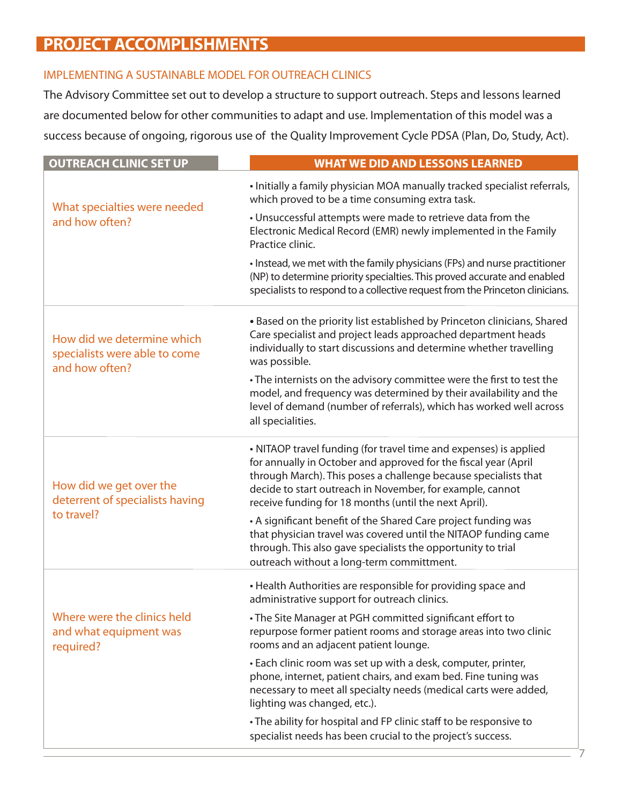#### IMPLEMENTING A SUSTAINABLE MODEL FOR OUTREACH CLINICS

The Advisory Committee set out to develop a structure to support outreach. Steps and lessons learned are documented below for other communities to adapt and use. Implementation of this model was a success because of ongoing, rigorous use of the Quality Improvement Cycle PDSA (Plan, Do, Study, Act).

| <b>OUTREACH CLINIC SET UP</b>                                                 | <b>WHAT WE DID AND LESSONS LEARNED</b>                                                                                                                                                                                                                                                                                        |
|-------------------------------------------------------------------------------|-------------------------------------------------------------------------------------------------------------------------------------------------------------------------------------------------------------------------------------------------------------------------------------------------------------------------------|
| What specialties were needed<br>and how often?                                | . Initially a family physician MOA manually tracked specialist referrals,<br>which proved to be a time consuming extra task.                                                                                                                                                                                                  |
|                                                                               | • Unsuccessful attempts were made to retrieve data from the<br>Electronic Medical Record (EMR) newly implemented in the Family<br>Practice clinic.                                                                                                                                                                            |
|                                                                               | • Instead, we met with the family physicians (FPs) and nurse practitioner<br>(NP) to determine priority specialties. This proved accurate and enabled<br>specialists to respond to a collective request from the Princeton clinicians.                                                                                        |
| How did we determine which<br>specialists were able to come<br>and how often? | • Based on the priority list established by Princeton clinicians, Shared<br>Care specialist and project leads approached department heads<br>individually to start discussions and determine whether travelling<br>was possible.                                                                                              |
|                                                                               | • The internists on the advisory committee were the first to test the<br>model, and frequency was determined by their availability and the<br>level of demand (number of referrals), which has worked well across<br>all specialities.                                                                                        |
| How did we get over the<br>deterrent of specialists having<br>to travel?      | • NITAOP travel funding (for travel time and expenses) is applied<br>for annually in October and approved for the fiscal year (April<br>through March). This poses a challenge because specialists that<br>decide to start outreach in November, for example, cannot<br>receive funding for 18 months (until the next April). |
|                                                                               | • A significant benefit of the Shared Care project funding was<br>that physician travel was covered until the NITAOP funding came<br>through. This also gave specialists the opportunity to trial<br>outreach without a long-term committment.                                                                                |
| Where were the clinics held<br>and what equipment was<br>required?            | • Health Authorities are responsible for providing space and<br>administrative support for outreach clinics.                                                                                                                                                                                                                  |
|                                                                               | • The Site Manager at PGH committed significant effort to<br>repurpose former patient rooms and storage areas into two clinic<br>rooms and an adjacent patient lounge.                                                                                                                                                        |
|                                                                               | • Each clinic room was set up with a desk, computer, printer,<br>phone, internet, patient chairs, and exam bed. Fine tuning was<br>necessary to meet all specialty needs (medical carts were added,<br>lighting was changed, etc.).                                                                                           |
|                                                                               | • The ability for hospital and FP clinic staff to be responsive to<br>specialist needs has been crucial to the project's success.                                                                                                                                                                                             |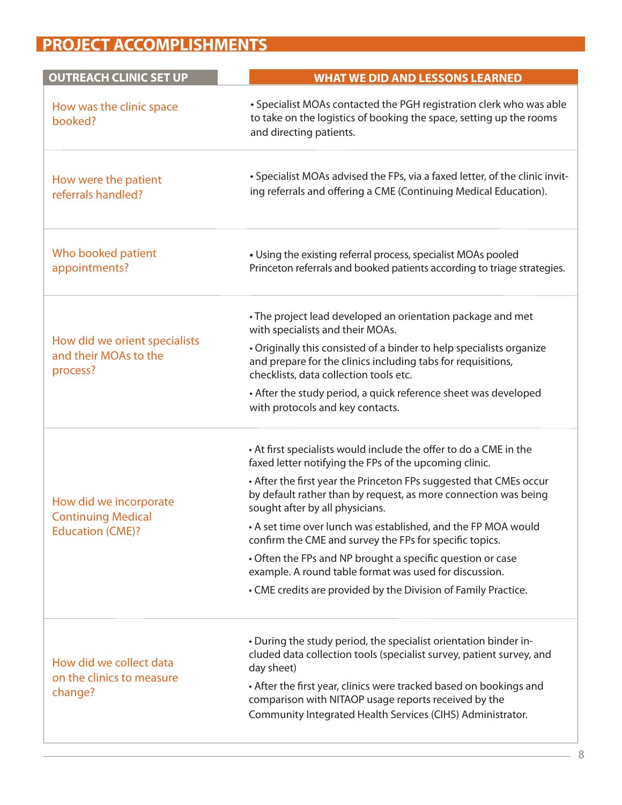| <b>OUTREACH CLINIC SET UP</b>                                                  | <b>WHAT WE DID AND LESSONS LEARNED</b>                                                                                                                                                   |
|--------------------------------------------------------------------------------|------------------------------------------------------------------------------------------------------------------------------------------------------------------------------------------|
| How was the clinic space<br>booked?                                            | • Specialist MOAs contacted the PGH registration clerk who was able<br>to take on the logistics of booking the space, setting up the rooms<br>and directing patients.                    |
| How were the patient<br>referrals handled?                                     | • Specialist MOAs advised the FPs, via a faxed letter, of the clinic invit-<br>ing referrals and offering a CME (Continuing Medical Education).                                          |
| Who booked patient<br>appointments?                                            | • Using the existing referral process, specialist MOAs pooled<br>Princeton referrals and booked patients according to triage strategies.                                                 |
| How did we orient specialists<br>and their MOAs to the<br>process?             | • The project lead developed an orientation package and met<br>with specialists and their MOAs.                                                                                          |
|                                                                                | • Originally this consisted of a binder to help specialists organize<br>and prepare for the clinics including tabs for requisitions,<br>checklists, data collection tools etc.           |
|                                                                                | • After the study period, a quick reference sheet was developed<br>with protocols and key contacts.                                                                                      |
| How did we incorporate<br><b>Continuing Medical</b><br><b>Education (CME)?</b> | • At first specialists would include the offer to do a CME in the<br>faxed letter notifying the FPs of the upcoming clinic.                                                              |
|                                                                                | • After the first year the Princeton FPs suggested that CMEs occur<br>by default rather than by request, as more connection was being<br>sought after by all physicians.                 |
|                                                                                | • A set time over lunch was established, and the FP MOA would<br>confirm the CME and survey the FPs for specific topics.                                                                 |
|                                                                                | • Often the FPs and NP brought a specific question or case<br>example. A round table format was used for discussion.                                                                     |
|                                                                                | • CME credits are provided by the Division of Family Practice.                                                                                                                           |
| How did we collect data<br>on the clinics to measure<br>change?                | • During the study period, the specialist orientation binder in-<br>cluded data collection tools (specialist survey, patient survey, and<br>day sheet)                                   |
|                                                                                | • After the first year, clinics were tracked based on bookings and<br>comparison with NITAOP usage reports received by the<br>Community Integrated Health Services (CIHS) Administrator. |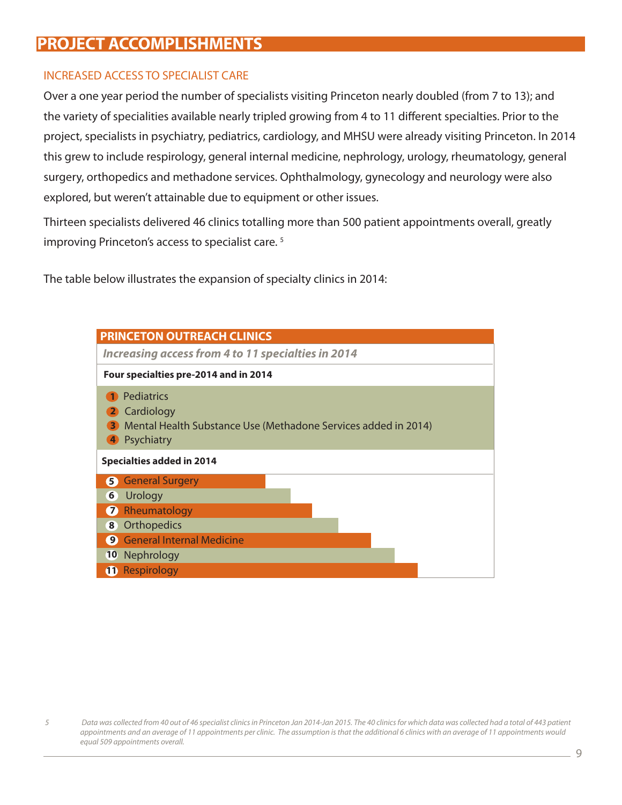### INCREASED ACCESS TO SPECIALIST CARE

Over a one year period the number of specialists visiting Princeton nearly doubled (from 7 to 13); and the variety of specialities available nearly tripled growing from 4 to 11 different specialties. Prior to the project, specialists in psychiatry, pediatrics, cardiology, and MHSU were already visiting Princeton. In 2014 this grew to include respirology, general internal medicine, nephrology, urology, rheumatology, general surgery, orthopedics and methadone services. Ophthalmology, gynecology and neurology were also explored, but weren't attainable due to equipment or other issues.

Thirteen specialists delivered 46 clinics totalling more than 500 patient appointments overall, greatly improving Princeton's access to specialist care. 5

The table below illustrates the expansion of specialty clinics in 2014:



*<sup>5</sup> Data was collected from 40 out of 46 specialist clinics in Princeton Jan 2014-Jan 2015. The 40 clinics for which data was collected had a total of 443 patient appointments and an average of 11 appointments per clinic. The assumption is that the additional 6 clinics with an average of 11 appointments would equal 509 appointments overall.*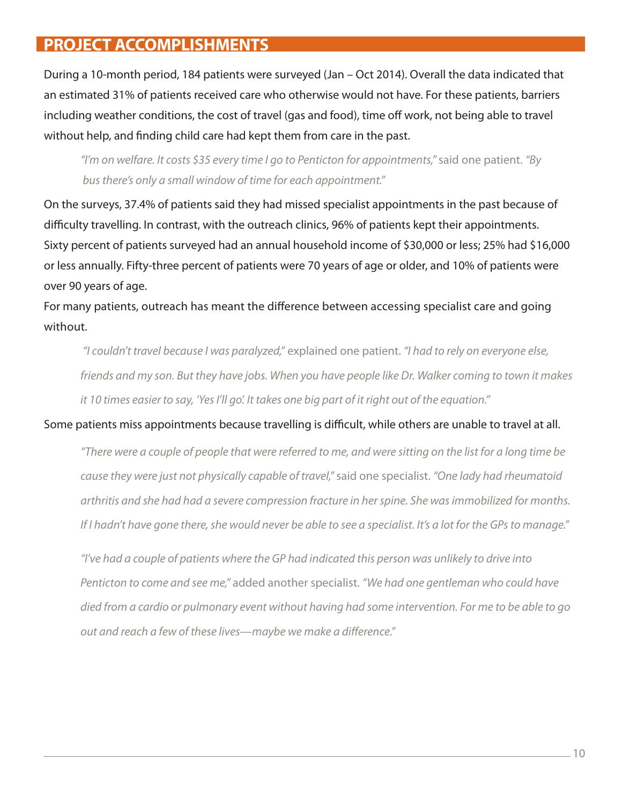During a 10-month period, 184 patients were surveyed (Jan – Oct 2014). Overall the data indicated that an estimated 31% of patients received care who otherwise would not have. For these patients, barriers including weather conditions, the cost of travel (gas and food), time off work, not being able to travel without help, and finding child care had kept them from care in the past.

*"I'm on welfare. It costs \$35 every time I go to Penticton for appointments,"* said one patient. *"By bus there's only a small window of time for each appointment."* 

On the surveys, 37.4% of patients said they had missed specialist appointments in the past because of difficulty travelling. In contrast, with the outreach clinics, 96% of patients kept their appointments. Sixty percent of patients surveyed had an annual household income of \$30,000 or less; 25% had \$16,000 or less annually. Fifty-three percent of patients were 70 years of age or older, and 10% of patients were over 90 years of age.

For many patients, outreach has meant the difference between accessing specialist care and going without.

 *"I couldn't travel because I was paralyzed,"* explained one patient. *"I had to rely on everyone else, friends and my son. But they have jobs. When you have people like Dr. Walker coming to town it makes it 10 times easier to say, 'Yes I'll go'. It takes one big part of it right out of the equation."*

#### Some patients miss appointments because travelling is difficult, while others are unable to travel at all.

*"There were a couple of people that were referred to me, and were sitting on the list for a long time be cause they were just not physically capable of travel,"* said one specialist. *"One lady had rheumatoid arthritis and she had had a severe compression fracture in her spine. She was immobilized for months. If I hadn't have gone there, she would never be able to see a specialist. It's a lot for the GPs to manage."* 

*"I've had a couple of patients where the GP had indicated this person was unlikely to drive into Penticton to come and see me,"* added another specialist. *"We had one gentleman who could have died from a cardio or pulmonary event without having had some intervention. For me to be able to go out and reach a few of these lives—maybe we make a difference."*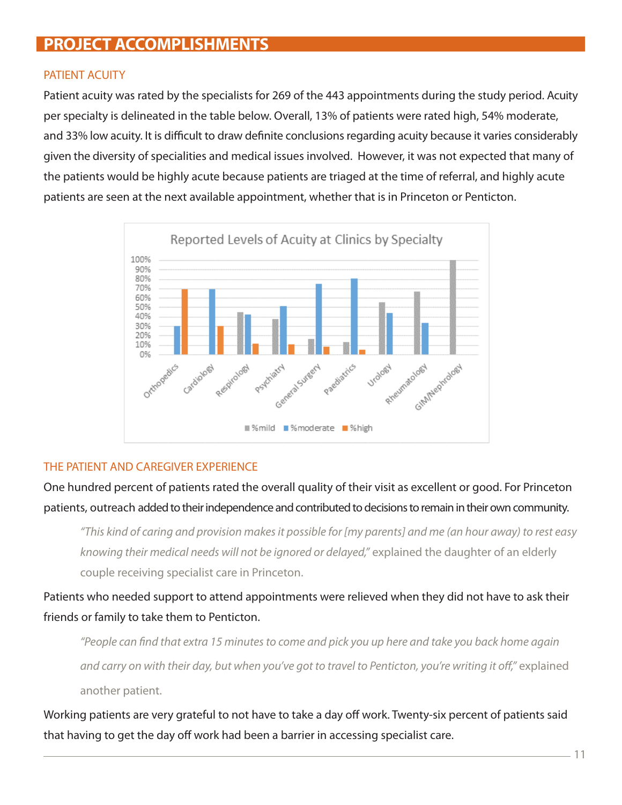#### PATIENT ACUITY

Patient acuity was rated by the specialists for 269 of the 443 appointments during the study period. Acuity per specialty is delineated in the table below. Overall, 13% of patients were rated high, 54% moderate, and 33% low acuity. It is difficult to draw definite conclusions regarding acuity because it varies considerably given the diversity of specialities and medical issues involved. However, it was not expected that many of the patients would be highly acute because patients are triaged at the time of referral, and highly acute patients are seen at the next available appointment, whether that is in Princeton or Penticton.



#### THE PATIENT AND CAREGIVER EXPERIENCE

One hundred percent of patients rated the overall quality of their visit as excellent or good. For Princeton patients, outreach added to their independence and contributed to decisions to remain in their own community.

*"This kind of caring and provision makes it possible for [my parents] and me (an hour away) to rest easy knowing their medical needs will not be ignored or delayed,"* explained the daughter of an elderly couple receiving specialist care in Princeton.

Patients who needed support to attend appointments were relieved when they did not have to ask their friends or family to take them to Penticton.

*"People can find that extra 15 minutes to come and pick you up here and take you back home again and carry on with their day, but when you've got to travel to Penticton, you're writing it off,"* explained another patient.

Working patients are very grateful to not have to take a day off work. Twenty-six percent of patients said that having to get the day off work had been a barrier in accessing specialist care.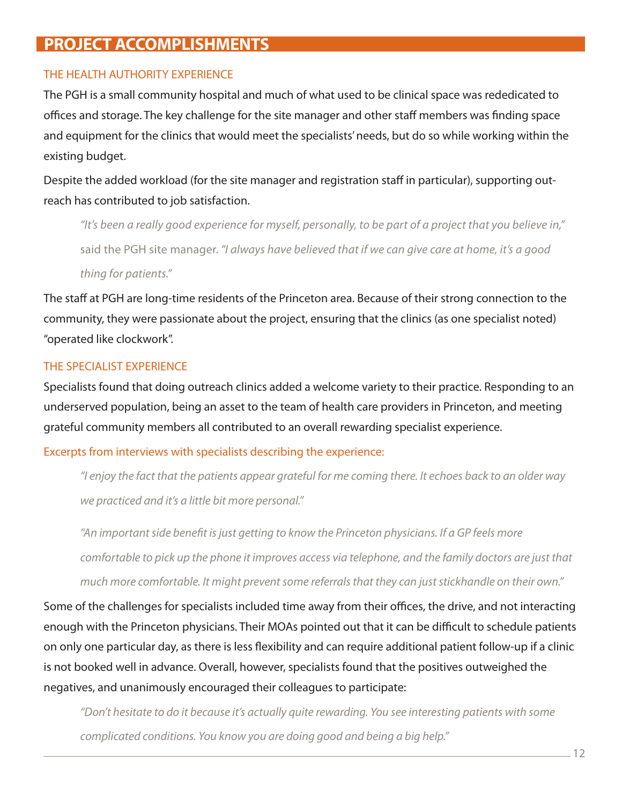#### THE HEALTH AUTHORITY EXPERIENCE

The PGH is a small community hospital and much of what used to be clinical space was rededicated to offices and storage. The key challenge for the site manager and other staff members was finding space and equipment for the clinics that would meet the specialists' needs, but do so while working within the existing budget.

Despite the added workload (for the site manager and registration staff in particular), supporting outreach has contributed to job satisfaction.

*"It's been a really good experience for myself, personally, to be part of a project that you believe in,"*  said the PGH site manager. *"I always have believed that if we can give care at home, it's a good thing for patients."* 

The staff at PGH are long-time residents of the Princeton area. Because of their strong connection to the community, they were passionate about the project, ensuring that the clinics (as one specialist noted) "operated like clockwork".

#### THE SPECIALIST EXPERIENCE

Specialists found that doing outreach clinics added a welcome variety to their practice. Responding to an underserved population, being an asset to the team of health care providers in Princeton, and meeting grateful community members all contributed to an overall rewarding specialist experience.

#### Excerpts from interviews with specialists describing the experience:

*"I enjoy the fact that the patients appear grateful for me coming there. It echoes back to an older way we practiced and it's a little bit more personal."*

*"An important side benefit is just getting to know the Princeton physicians. If a GP feels more comfortable to pick up the phone it improves access via telephone, and the family doctors are just that much more comfortable. It might prevent some referrals that they can just stickhandle on their own."*

Some of the challenges for specialists included time away from their offices, the drive, and not interacting enough with the Princeton physicians. Their MOAs pointed out that it can be difficult to schedule patients on only one particular day, as there is less flexibility and can require additional patient follow-up if a clinic is not booked well in advance. Overall, however, specialists found that the positives outweighed the negatives, and unanimously encouraged their colleagues to participate:

*"Don't hesitate to do it because it's actually quite rewarding. You see interesting patients with some complicated conditions. You know you are doing good and being a big help."*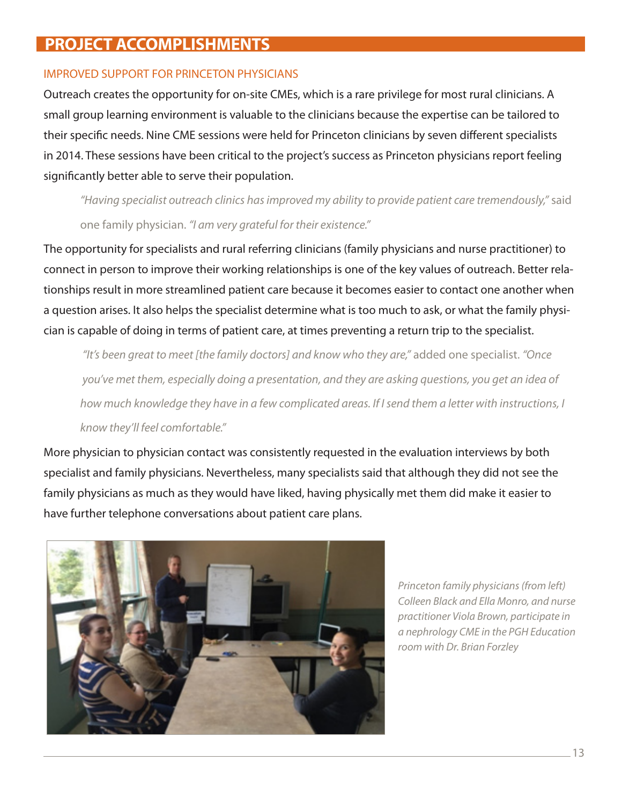#### IMPROVED SUPPORT FOR PRINCETON PHYSICIANS

Outreach creates the opportunity for on-site CMEs, which is a rare privilege for most rural clinicians. A small group learning environment is valuable to the clinicians because the expertise can be tailored to their specific needs. Nine CME sessions were held for Princeton clinicians by seven different specialists in 2014. These sessions have been critical to the project's success as Princeton physicians report feeling significantly better able to serve their population.

*"Having specialist outreach clinics has improved my ability to provide patient care tremendously,"* said one family physician. *"I am very grateful for their existence."*

The opportunity for specialists and rural referring clinicians (family physicians and nurse practitioner) to connect in person to improve their working relationships is one of the key values of outreach. Better relationships result in more streamlined patient care because it becomes easier to contact one another when a question arises. It also helps the specialist determine what is too much to ask, or what the family physician is capable of doing in terms of patient care, at times preventing a return trip to the specialist.

*"It's been great to meet [the family doctors] and know who they are,"* added one specialist. *"Once you've met them, especially doing a presentation, and they are asking questions, you get an idea of how much knowledge they have in a few complicated areas. If I send them a letter with instructions, I know they'll feel comfortable."*

More physician to physician contact was consistently requested in the evaluation interviews by both specialist and family physicians. Nevertheless, many specialists said that although they did not see the family physicians as much as they would have liked, having physically met them did make it easier to have further telephone conversations about patient care plans.



*Princeton family physicians (from left) Colleen Black and Ella Monro, and nurse practitioner Viola Brown, participate in a nephrology CME in the PGH Education room with Dr. Brian Forzley*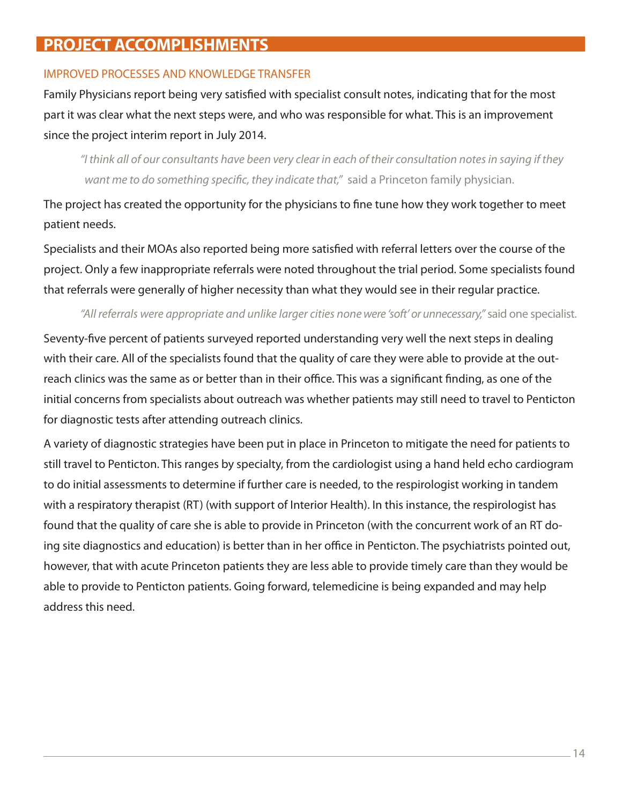### IMPROVED PROCESSES AND KNOWLEDGE TRANSFER

Family Physicians report being very satisfied with specialist consult notes, indicating that for the most part it was clear what the next steps were, and who was responsible for what. This is an improvement since the project interim report in July 2014.

*"I think all of our consultants have been very clear in each of their consultation notes in saying if they want me to do something specific, they indicate that,"* said a Princeton family physician.

The project has created the opportunity for the physicians to fine tune how they work together to meet patient needs.

Specialists and their MOAs also reported being more satisfied with referral letters over the course of the project. Only a few inappropriate referrals were noted throughout the trial period. Some specialists found that referrals were generally of higher necessity than what they would see in their regular practice.

### *"All referrals were appropriate and unlike larger cities none were 'soft' or unnecessary,"* said one specialist.

Seventy-five percent of patients surveyed reported understanding very well the next steps in dealing with their care. All of the specialists found that the quality of care they were able to provide at the outreach clinics was the same as or better than in their office. This was a significant finding, as one of the initial concerns from specialists about outreach was whether patients may still need to travel to Penticton for diagnostic tests after attending outreach clinics.

A variety of diagnostic strategies have been put in place in Princeton to mitigate the need for patients to still travel to Penticton. This ranges by specialty, from the cardiologist using a hand held echo cardiogram to do initial assessments to determine if further care is needed, to the respirologist working in tandem with a respiratory therapist (RT) (with support of Interior Health). In this instance, the respirologist has found that the quality of care she is able to provide in Princeton (with the concurrent work of an RT doing site diagnostics and education) is better than in her office in Penticton. The psychiatrists pointed out, however, that with acute Princeton patients they are less able to provide timely care than they would be able to provide to Penticton patients. Going forward, telemedicine is being expanded and may help address this need.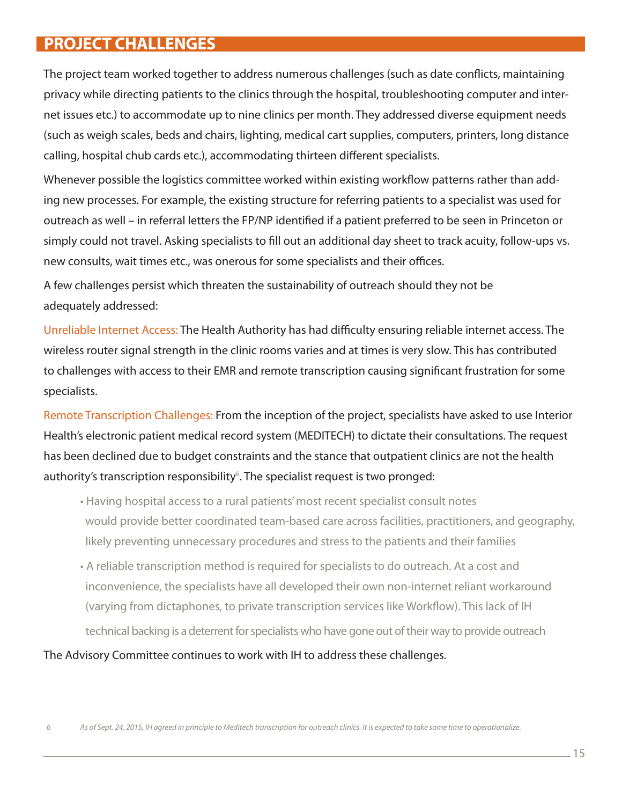### **PROJECT CHALLENGES**

The project team worked together to address numerous challenges (such as date conflicts, maintaining privacy while directing patients to the clinics through the hospital, troubleshooting computer and internet issues etc.) to accommodate up to nine clinics per month. They addressed diverse equipment needs (such as weigh scales, beds and chairs, lighting, medical cart supplies, computers, printers, long distance calling, hospital chub cards etc.), accommodating thirteen different specialists.

Whenever possible the logistics committee worked within existing workflow patterns rather than adding new processes. For example, the existing structure for referring patients to a specialist was used for outreach as well – in referral letters the FP/NP identified if a patient preferred to be seen in Princeton or simply could not travel. Asking specialists to fill out an additional day sheet to track acuity, follow-ups vs. new consults, wait times etc., was onerous for some specialists and their offices.

A few challenges persist which threaten the sustainability of outreach should they not be adequately addressed:

Unreliable Internet Access: The Health Authority has had difficulty ensuring reliable internet access. The wireless router signal strength in the clinic rooms varies and at times is very slow. This has contributed to challenges with access to their EMR and remote transcription causing significant frustration for some specialists.

Remote Transcription Challenges: From the inception of the project, specialists have asked to use Interior Health's electronic patient medical record system (MEDITECH) to dictate their consultations. The request has been declined due to budget constraints and the stance that outpatient clinics are not the health authority's transcription responsibility<sup>6</sup>. The specialist request is two pronged:

- Having hospital access to a rural patients' most recent specialist consult notes would provide better coordinated team-based care across facilities, practitioners, and geography, likely preventing unnecessary procedures and stress to the patients and their families
- A reliable transcription method is required for specialists to do outreach. At a cost and inconvenience, the specialists have all developed their own non-internet reliant workaround (varying from dictaphones, to private transcription services like Workflow). This lack of IH technical backing is a deterrent for specialists who have gone out of their way to provide outreach

The Advisory Committee continues to work with IH to address these challenges.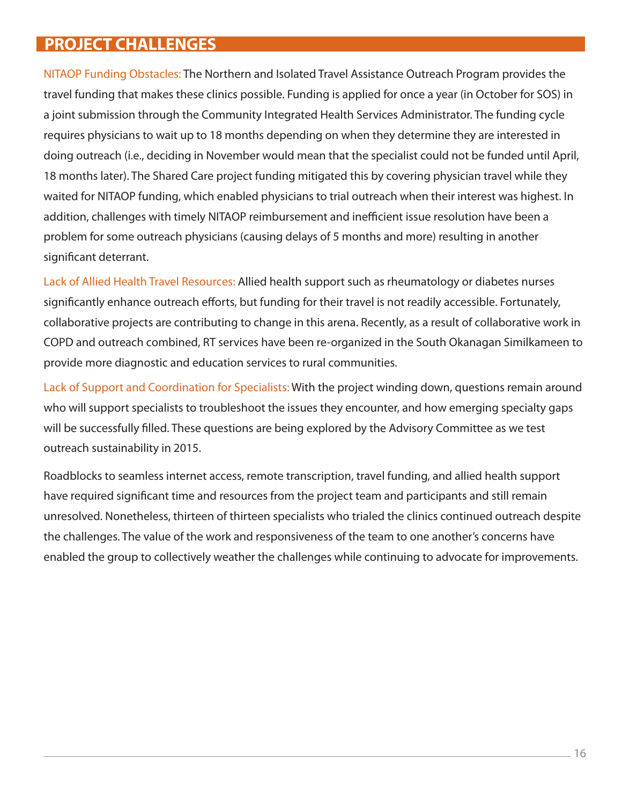### **PROJECT CHALLENGES**

NITAOP Funding Obstacles: The Northern and Isolated Travel Assistance Outreach Program provides the travel funding that makes these clinics possible. Funding is applied for once a year (in October for SOS) in a joint submission through the Community Integrated Health Services Administrator. The funding cycle requires physicians to wait up to 18 months depending on when they determine they are interested in doing outreach (i.e., deciding in November would mean that the specialist could not be funded until April, 18 months later). The Shared Care project funding mitigated this by covering physician travel while they waited for NITAOP funding, which enabled physicians to trial outreach when their interest was highest. In addition, challenges with timely NITAOP reimbursement and inefficient issue resolution have been a problem for some outreach physicians (causing delays of 5 months and more) resulting in another significant deterrant.

Lack of Allied Health Travel Resources: Allied health support such as rheumatology or diabetes nurses significantly enhance outreach efforts, but funding for their travel is not readily accessible. Fortunately, collaborative projects are contributing to change in this arena. Recently, as a result of collaborative work in COPD and outreach combined, RT services have been re-organized in the South Okanagan Similkameen to provide more diagnostic and education services to rural communities.

Lack of Support and Coordination for Specialists: With the project winding down, questions remain around who will support specialists to troubleshoot the issues they encounter, and how emerging specialty gaps will be successfully filled. These questions are being explored by the Advisory Committee as we test outreach sustainability in 2015.

Roadblocks to seamless internet access, remote transcription, travel funding, and allied health support have required significant time and resources from the project team and participants and still remain unresolved. Nonetheless, thirteen of thirteen specialists who trialed the clinics continued outreach despite the challenges. The value of the work and responsiveness of the team to one another's concerns have enabled the group to collectively weather the challenges while continuing to advocate for improvements.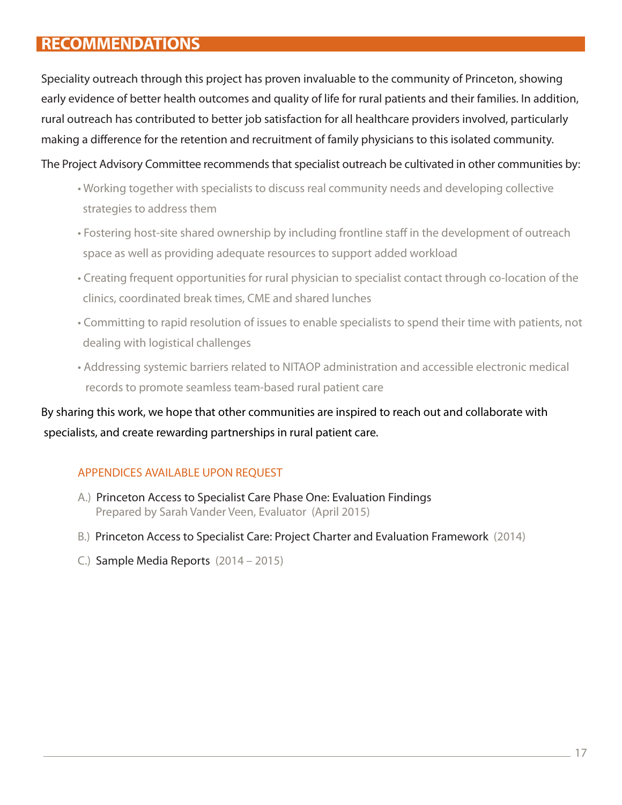# **RECOMMENDATIONS**

Speciality outreach through this project has proven invaluable to the community of Princeton, showing early evidence of better health outcomes and quality of life for rural patients and their families. In addition, rural outreach has contributed to better job satisfaction for all healthcare providers involved, particularly making a difference for the retention and recruitment of family physicians to this isolated community.

The Project Advisory Committee recommends that specialist outreach be cultivated in other communities by:

- Working together with specialists to discuss real community needs and developing collective strategies to address them
- Fostering host-site shared ownership by including frontline staff in the development of outreach space as well as providing adequate resources to support added workload
- Creating frequent opportunities for rural physician to specialist contact through co-location of the clinics, coordinated break times, CME and shared lunches
- Committing to rapid resolution of issues to enable specialists to spend their time with patients, not dealing with logistical challenges
- Addressing systemic barriers related to NITAOP administration and accessible electronic medical records to promote seamless team-based rural patient care

By sharing this work, we hope that other communities are inspired to reach out and collaborate with specialists, and create rewarding partnerships in rural patient care.

#### APPENDICES AVAILABLE UPON REQUEST

- A.) Princeton Access to Specialist Care Phase One: Evaluation Findings Prepared by Sarah Vander Veen, Evaluator (April 2015)
- B.) Princeton Access to Specialist Care: Project Charter and Evaluation Framework (2014)
- C.) Sample Media Reports (2014 2015)